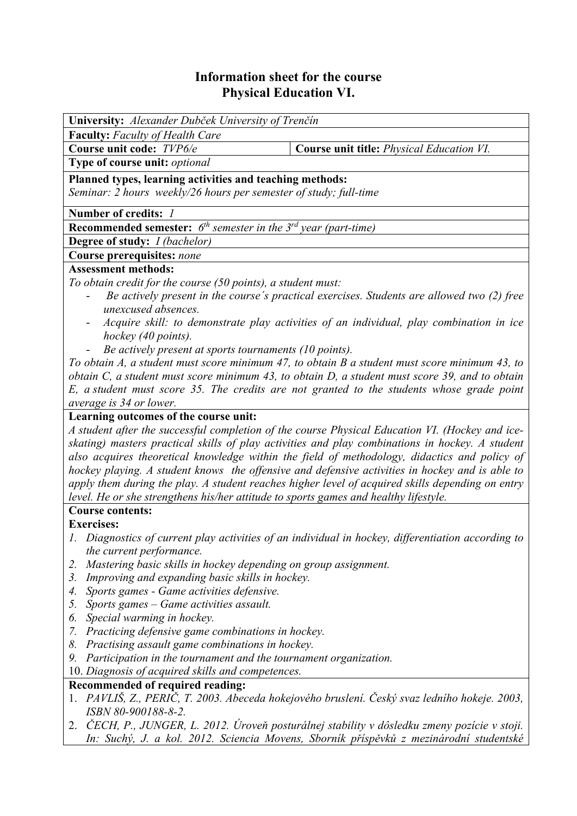# **Information sheet for the course Physical Education VI.**

| University: Alexander Dubček University of Trenčín                                                             |  |  |  |  |
|----------------------------------------------------------------------------------------------------------------|--|--|--|--|
| <b>Faculty:</b> Faculty of Health Care                                                                         |  |  |  |  |
| Course unit code: TVP6/e<br><b>Course unit title: Physical Education VI.</b>                                   |  |  |  |  |
| Type of course unit: optional                                                                                  |  |  |  |  |
| Planned types, learning activities and teaching methods:                                                       |  |  |  |  |
| Seminar: 2 hours weekly/26 hours per semester of study; full-time                                              |  |  |  |  |
| Number of credits: 1                                                                                           |  |  |  |  |
| <b>Recommended semester:</b> $6^{th}$ semester in the $3^{rd}$ year (part-time)                                |  |  |  |  |
| <b>Degree of study:</b> <i>I (bachelor)</i>                                                                    |  |  |  |  |
| Course prerequisites: none                                                                                     |  |  |  |  |
| <b>Assessment methods:</b>                                                                                     |  |  |  |  |
| To obtain credit for the course (50 points), a student must:                                                   |  |  |  |  |
| Be actively present in the course's practical exercises. Students are allowed two (2) free                     |  |  |  |  |
| unexcused absences.                                                                                            |  |  |  |  |
| Acquire skill: to demonstrate play activities of an individual, play combination in ice<br>hockey (40 points). |  |  |  |  |
| Be actively present at sports tournaments (10 points).                                                         |  |  |  |  |
| To obtain A, a student must score minimum 47, to obtain B a student must score minimum 43, to                  |  |  |  |  |
| obtain C, a student must score minimum 43, to obtain D, a student must score 39, and to obtain                 |  |  |  |  |
| E, a student must score 35. The credits are not granted to the students whose grade point                      |  |  |  |  |
| average is 34 or lower.                                                                                        |  |  |  |  |
| Learning outcomes of the course unit:                                                                          |  |  |  |  |
| A student after the successful completion of the course Physical Education VI. (Hockey and ice-                |  |  |  |  |
| skating) masters practical skills of play activities and play combinations in hockey. A student                |  |  |  |  |
| also acquires theoretical knowledge within the field of methodology, didactics and policy of                   |  |  |  |  |
| hockey playing. A student knows the offensive and defensive activities in hockey and is able to                |  |  |  |  |

*level. He or she strengthens his/her attitude to sports games and healthy lifestyle.*  **Course contents:**

**Exercises:** 

*1. Diagnostics of current play activities of an individual in hockey, differentiation according to the current performance.* 

*apply them during the play. A student reaches higher level of acquired skills depending on entry* 

- *2. Mastering basic skills in hockey depending on group assignment.*
- *3. Improving and expanding basic skills in hockey.*
- *4. Sports games Game activities defensive.*
- *5. Sports games Game activities assault.*
- *6. Special warming in hockey.*
- *7. Practicing defensive game combinations in hockey.*
- *8. Practising assault game combinations in hockey.*
- *9. Participation in the tournament and the tournament organization.*
- 10. *Diagnosis of acquired skills and competences.*

### **Recommended of required reading:**

- 1. *PAVLIŠ, Z., PERIČ, T. 2003. Abeceda hokejového bruslení. Český svaz ledního hokeje. 2003, ISBN 80-900188-8-2.*
- 2. *ČECH, P., JUNGER, L. 2012. Úroveň posturálnej stability v dôsledku zmeny pozície v stoji. In: Suchý, J. a kol. 2012. Sciencia Movens, Sborník příspěvků z mezinárodní studentské*